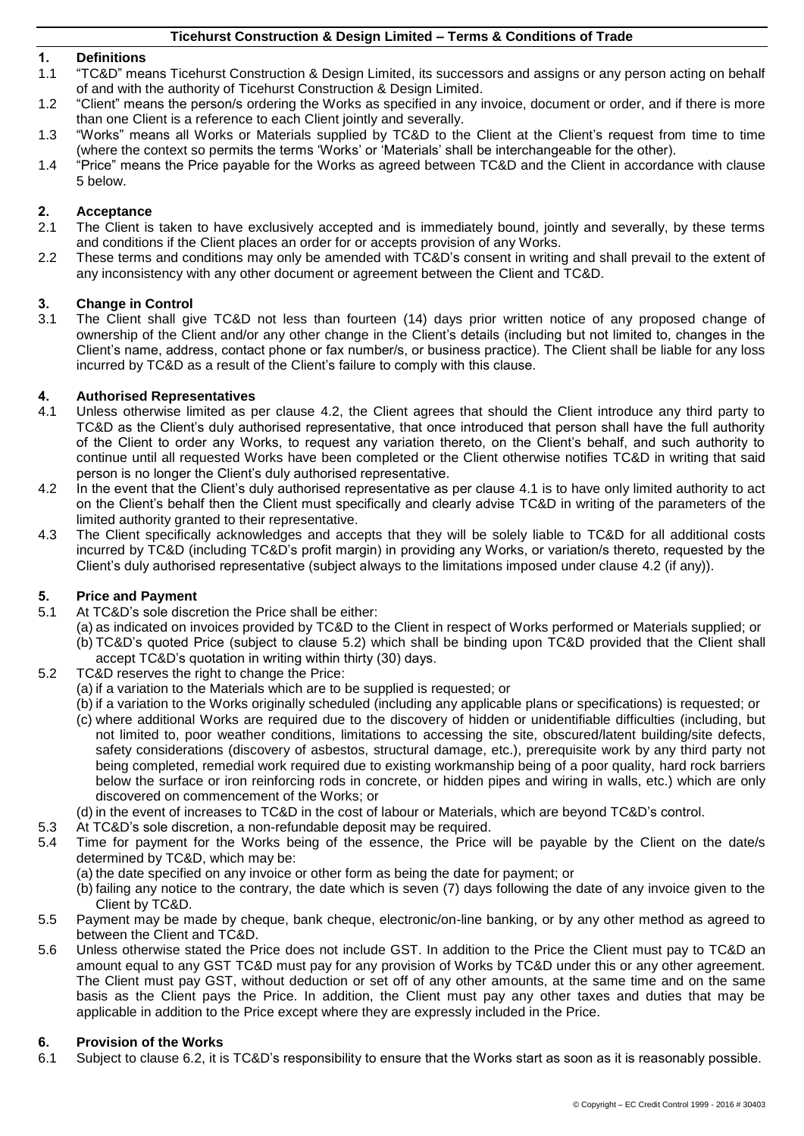## **1. Definitions**

- 1.1 "TC&D" means Ticehurst Construction & Design Limited, its successors and assigns or any person acting on behalf of and with the authority of Ticehurst Construction & Design Limited.
- 1.2 "Client" means the person/s ordering the Works as specified in any invoice, document or order, and if there is more than one Client is a reference to each Client jointly and severally.
- 1.3 "Works" means all Works or Materials supplied by TC&D to the Client at the Client's request from time to time (where the context so permits the terms 'Works' or 'Materials' shall be interchangeable for the other).
- 1.4 "Price" means the Price payable for the Works as agreed between TC&D and the Client in accordance with clause [5](#page-0-0) below.

## **2. Acceptance**

- The Client is taken to have exclusively accepted and is immediately bound, jointly and severally, by these terms and conditions if the Client places an order for or accepts provision of any Works.
- 2.2 These terms and conditions may only be amended with TC&D's consent in writing and shall prevail to the extent of any inconsistency with any other document or agreement between the Client and TC&D.

# **3. Change in Control**

The Client shall give TC&D not less than fourteen (14) days prior written notice of any proposed change of ownership of the Client and/or any other change in the Client's details (including but not limited to, changes in the Client's name, address, contact phone or fax number/s, or business practice). The Client shall be liable for any loss incurred by TC&D as a result of the Client's failure to comply with this clause.

## **4. Authorised Representatives**

- <span id="page-0-2"></span>4.1 Unless otherwise limited as per clause [4.2,](#page-0-1) the Client agrees that should the Client introduce any third party to TC&D as the Client's duly authorised representative, that once introduced that person shall have the full authority of the Client to order any Works, to request any variation thereto, on the Client's behalf, and such authority to continue until all requested Works have been completed or the Client otherwise notifies TC&D in writing that said person is no longer the Client's duly authorised representative.
- <span id="page-0-1"></span>4.2 In the event that the Client's duly authorised representative as per clause [4.1](#page-0-2) is to have only limited authority to act on the Client's behalf then the Client must specifically and clearly advise TC&D in writing of the parameters of the limited authority granted to their representative.
- 4.3 The Client specifically acknowledges and accepts that they will be solely liable to TC&D for all additional costs incurred by TC&D (including TC&D's profit margin) in providing any Works, or variation/s thereto, requested by the Client's duly authorised representative (subject always to the limitations imposed under clause [4.2](#page-0-1) (if any)).

## <span id="page-0-0"></span>**5. Price and Payment**

- 5.1 At TC&D's sole discretion the Price shall be either:
	- (a) as indicated on invoices provided by TC&D to the Client in respect of Works performed or Materials supplied; or (b) TC&D's quoted Price (subject to clause [5.2\)](#page-0-3) which shall be binding upon TC&D provided that the Client shall accept TC&D's quotation in writing within thirty (30) days.
- <span id="page-0-3"></span>5.2 TC&D reserves the right to change the Price:
	- (a) if a variation to the Materials which are to be supplied is requested; or
	- (b) if a variation to the Works originally scheduled (including any applicable plans or specifications) is requested; or
	- (c) where additional Works are required due to the discovery of hidden or unidentifiable difficulties (including, but not limited to, poor weather conditions, limitations to accessing the site, obscured/latent building/site defects, safety considerations (discovery of asbestos, structural damage, etc.), prerequisite work by any third party not being completed, remedial work required due to existing workmanship being of a poor quality, hard rock barriers below the surface or iron reinforcing rods in concrete, or hidden pipes and wiring in walls, etc.) which are only discovered on commencement of the Works; or
	- (d) in the event of increases to TC&D in the cost of labour or Materials, which are beyond TC&D's control.
- 5.3 At TC&D's sole discretion, a non-refundable deposit may be required.
- 5.4 Time for payment for the Works being of the essence, the Price will be payable by the Client on the date/s determined by TC&D, which may be:
	- (a) the date specified on any invoice or other form as being the date for payment; or
	- (b) failing any notice to the contrary, the date which is seven (7) days following the date of any invoice given to the Client by TC&D.
- 5.5 Payment may be made by cheque, bank cheque, electronic/on-line banking, or by any other method as agreed to between the Client and TC&D.
- 5.6 Unless otherwise stated the Price does not include GST. In addition to the Price the Client must pay to TC&D an amount equal to any GST TC&D must pay for any provision of Works by TC&D under this or any other agreement. The Client must pay GST, without deduction or set off of any other amounts, at the same time and on the same basis as the Client pays the Price. In addition, the Client must pay any other taxes and duties that may be applicable in addition to the Price except where they are expressly included in the Price.

#### **6. Provision of the Works**

6.1 Subject to clause [6.2,](#page-1-0) it is TC&D's responsibility to ensure that the Works start as soon as it is reasonably possible.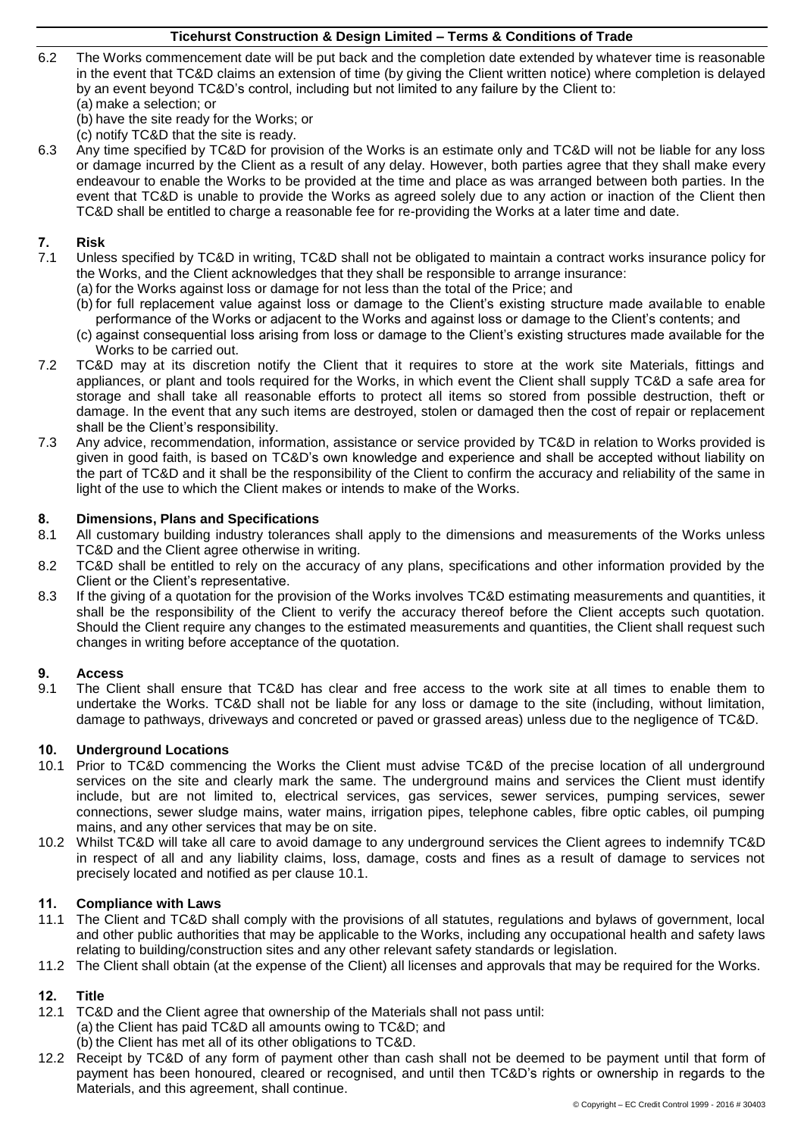- <span id="page-1-0"></span>6.2 The Works commencement date will be put back and the completion date extended by whatever time is reasonable in the event that TC&D claims an extension of time (by giving the Client written notice) where completion is delayed by an event beyond TC&D's control, including but not limited to any failure by the Client to:
	- (a) make a selection; or
	- (b) have the site ready for the Works; or
	- (c) notify TC&D that the site is ready.
- 6.3 Any time specified by TC&D for provision of the Works is an estimate only and TC&D will not be liable for any loss or damage incurred by the Client as a result of any delay. However, both parties agree that they shall make every endeavour to enable the Works to be provided at the time and place as was arranged between both parties. In the event that TC&D is unable to provide the Works as agreed solely due to any action or inaction of the Client then TC&D shall be entitled to charge a reasonable fee for re-providing the Works at a later time and date.

## **7. Risk**

- Unless specified by TC&D in writing, TC&D shall not be obligated to maintain a contract works insurance policy for the Works, and the Client acknowledges that they shall be responsible to arrange insurance:
	- (a) for the Works against loss or damage for not less than the total of the Price; and
	- (b) for full replacement value against loss or damage to the Client's existing structure made available to enable performance of the Works or adjacent to the Works and against loss or damage to the Client's contents; and
	- (c) against consequential loss arising from loss or damage to the Client's existing structures made available for the Works to be carried out.
- 7.2 TC&D may at its discretion notify the Client that it requires to store at the work site Materials, fittings and appliances, or plant and tools required for the Works, in which event the Client shall supply TC&D a safe area for storage and shall take all reasonable efforts to protect all items so stored from possible destruction, theft or damage. In the event that any such items are destroyed, stolen or damaged then the cost of repair or replacement shall be the Client's responsibility.
- 7.3 Any advice, recommendation, information, assistance or service provided by TC&D in relation to Works provided is given in good faith, is based on TC&D's own knowledge and experience and shall be accepted without liability on the part of TC&D and it shall be the responsibility of the Client to confirm the accuracy and reliability of the same in light of the use to which the Client makes or intends to make of the Works.

#### **8. Dimensions, Plans and Specifications**

- 8.1 All customary building industry tolerances shall apply to the dimensions and measurements of the Works unless TC&D and the Client agree otherwise in writing.
- 8.2 TC&D shall be entitled to rely on the accuracy of any plans, specifications and other information provided by the Client or the Client's representative.
- 8.3 If the giving of a quotation for the provision of the Works involves TC&D estimating measurements and quantities, it shall be the responsibility of the Client to verify the accuracy thereof before the Client accepts such quotation. Should the Client require any changes to the estimated measurements and quantities, the Client shall request such changes in writing before acceptance of the quotation.

#### **9. Access**

9.1 The Client shall ensure that TC&D has clear and free access to the work site at all times to enable them to undertake the Works. TC&D shall not be liable for any loss or damage to the site (including, without limitation, damage to pathways, driveways and concreted or paved or grassed areas) unless due to the negligence of TC&D.

#### **10. Underground Locations**

- <span id="page-1-1"></span>10.1 Prior to TC&D commencing the Works the Client must advise TC&D of the precise location of all underground services on the site and clearly mark the same. The underground mains and services the Client must identify include, but are not limited to, electrical services, gas services, sewer services, pumping services, sewer connections, sewer sludge mains, water mains, irrigation pipes, telephone cables, fibre optic cables, oil pumping mains, and any other services that may be on site.
- 10.2 Whilst TC&D will take all care to avoid damage to any underground services the Client agrees to indemnify TC&D in respect of all and any liability claims, loss, damage, costs and fines as a result of damage to services not precisely located and notified as per clause [10.1.](#page-1-1)

#### **11. Compliance with Laws**

- 11.1 The Client and TC&D shall comply with the provisions of all statutes, regulations and bylaws of government, local and other public authorities that may be applicable to the Works, including any occupational health and safety laws relating to building/construction sites and any other relevant safety standards or legislation.
- 11.2 The Client shall obtain (at the expense of the Client) all licenses and approvals that may be required for the Works.

## **12. Title**

- <span id="page-1-2"></span>12.1 TC&D and the Client agree that ownership of the Materials shall not pass until: (a) the Client has paid TC&D all amounts owing to TC&D; and
	- (b) the Client has met all of its other obligations to TC&D.
- 12.2 Receipt by TC&D of any form of payment other than cash shall not be deemed to be payment until that form of payment has been honoured, cleared or recognised, and until then TC&D's rights or ownership in regards to the Materials, and this agreement, shall continue.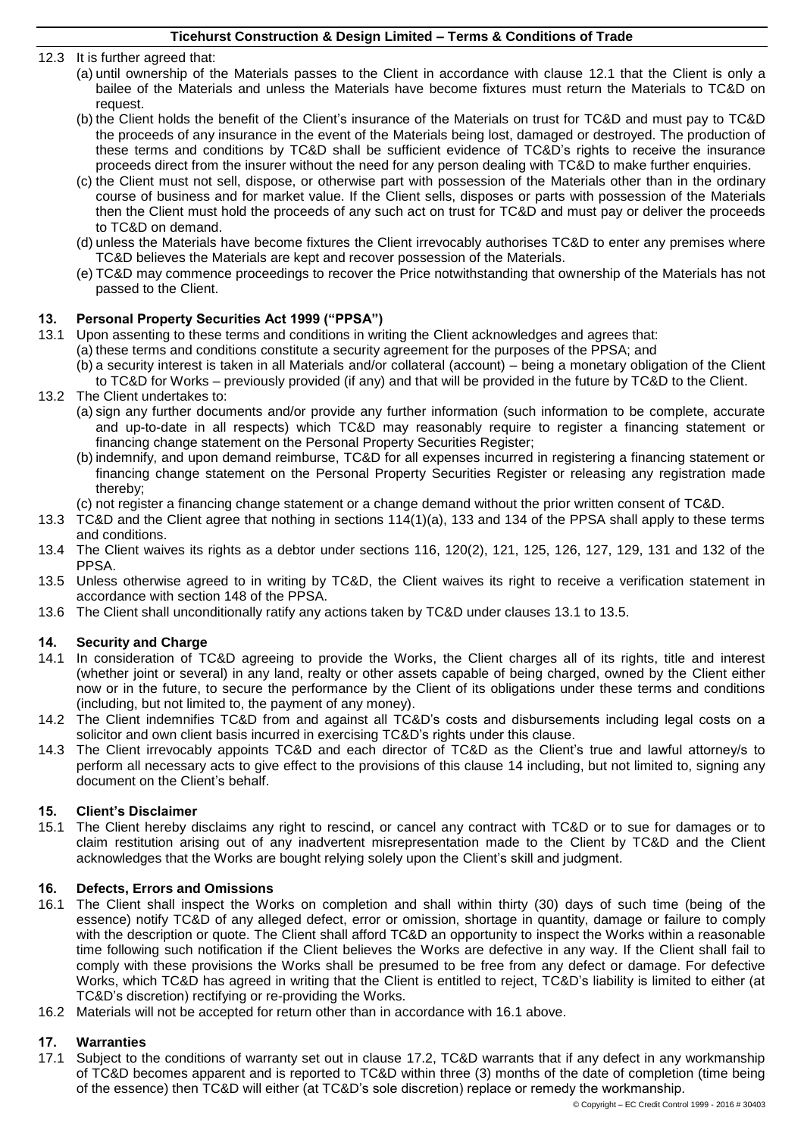12.3 It is further agreed that:

- (a) until ownership of the Materials passes to the Client in accordance with clause [12.1](#page-1-2) that the Client is only a bailee of the Materials and unless the Materials have become fixtures must return the Materials to TC&D on request.
- (b) the Client holds the benefit of the Client's insurance of the Materials on trust for TC&D and must pay to TC&D the proceeds of any insurance in the event of the Materials being lost, damaged or destroyed. The production of these terms and conditions by TC&D shall be sufficient evidence of TC&D's rights to receive the insurance proceeds direct from the insurer without the need for any person dealing with TC&D to make further enquiries.
- (c) the Client must not sell, dispose, or otherwise part with possession of the Materials other than in the ordinary course of business and for market value. If the Client sells, disposes or parts with possession of the Materials then the Client must hold the proceeds of any such act on trust for TC&D and must pay or deliver the proceeds to TC&D on demand.
- (d) unless the Materials have become fixtures the Client irrevocably authorises TC&D to enter any premises where TC&D believes the Materials are kept and recover possession of the Materials.
- (e) TC&D may commence proceedings to recover the Price notwithstanding that ownership of the Materials has not passed to the Client.

## **13. Personal Property Securities Act 1999 ("PPSA")**

- <span id="page-2-0"></span>13.1 Upon assenting to these terms and conditions in writing the Client acknowledges and agrees that: (a) these terms and conditions constitute a security agreement for the purposes of the PPSA; and
	- (b) a security interest is taken in all Materials and/or collateral (account) being a monetary obligation of the Client
	- to TC&D for Works previously provided (if any) and that will be provided in the future by TC&D to the Client.
- 13.2 The Client undertakes to:
	- (a) sign any further documents and/or provide any further information (such information to be complete, accurate and up-to-date in all respects) which TC&D may reasonably require to register a financing statement or financing change statement on the Personal Property Securities Register;
	- (b) indemnify, and upon demand reimburse, TC&D for all expenses incurred in registering a financing statement or financing change statement on the Personal Property Securities Register or releasing any registration made thereby;
	- (c) not register a financing change statement or a change demand without the prior written consent of TC&D.
- 13.3 TC&D and the Client agree that nothing in sections 114(1)(a), 133 and 134 of the PPSA shall apply to these terms and conditions.
- 13.4 The Client waives its rights as a debtor under sections 116, 120(2), 121, 125, 126, 127, 129, 131 and 132 of the PPSA.
- <span id="page-2-1"></span>13.5 Unless otherwise agreed to in writing by TC&D, the Client waives its right to receive a verification statement in accordance with section 148 of the PPSA.
- 13.6 The Client shall unconditionally ratify any actions taken by TC&D under clauses [13.1](#page-2-0) to [13.5.](#page-2-1)

## <span id="page-2-2"></span>**14. Security and Charge**

- 14.1 In consideration of TC&D agreeing to provide the Works, the Client charges all of its rights, title and interest (whether joint or several) in any land, realty or other assets capable of being charged, owned by the Client either now or in the future, to secure the performance by the Client of its obligations under these terms and conditions (including, but not limited to, the payment of any money).
- 14.2 The Client indemnifies TC&D from and against all TC&D's costs and disbursements including legal costs on a solicitor and own client basis incurred in exercising TC&D's rights under this clause.
- 14.3 The Client irrevocably appoints TC&D and each director of TC&D as the Client's true and lawful attorney/s to perform all necessary acts to give effect to the provisions of this clause [14](#page-2-2) including, but not limited to, signing any document on the Client's behalf.

#### **15. Client's Disclaimer**

15.1 The Client hereby disclaims any right to rescind, or cancel any contract with TC&D or to sue for damages or to claim restitution arising out of any inadvertent misrepresentation made to the Client by TC&D and the Client acknowledges that the Works are bought relying solely upon the Client's skill and judgment.

## **16. Defects, Errors and Omissions**

- <span id="page-2-3"></span>16.1 The Client shall inspect the Works on completion and shall within thirty (30) days of such time (being of the essence) notify TC&D of any alleged defect, error or omission, shortage in quantity, damage or failure to comply with the description or quote. The Client shall afford TC&D an opportunity to inspect the Works within a reasonable time following such notification if the Client believes the Works are defective in any way. If the Client shall fail to comply with these provisions the Works shall be presumed to be free from any defect or damage. For defective Works, which TC&D has agreed in writing that the Client is entitled to reject, TC&D's liability is limited to either (at TC&D's discretion) rectifying or re-providing the Works.
- 16.2 Materials will not be accepted for return other than in accordance with [16.1](#page-2-3) above.

## **17. Warranties**

<span id="page-2-4"></span>17.1 Subject to the conditions of warranty set out in clause [17.2,](#page-3-0) TC&D warrants that if any defect in any workmanship of TC&D becomes apparent and is reported to TC&D within three (3) months of the date of completion (time being of the essence) then TC&D will either (at TC&D's sole discretion) replace or remedy the workmanship.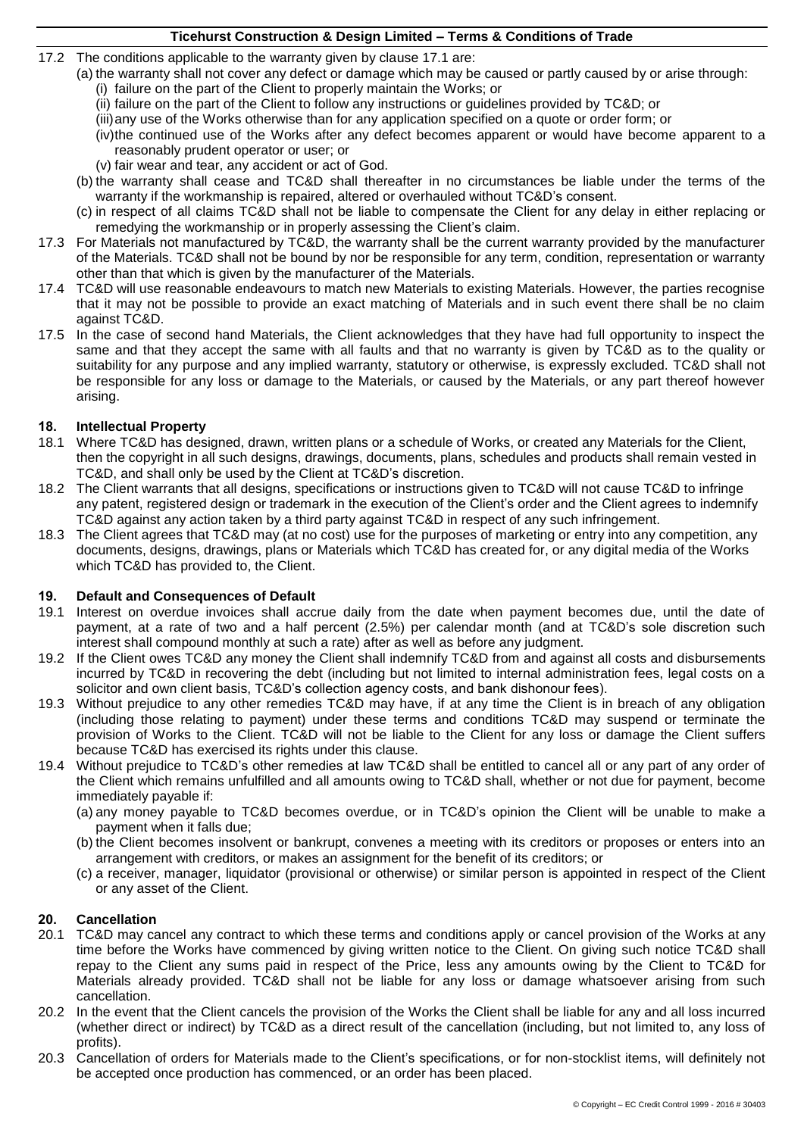- <span id="page-3-0"></span>17.2 The conditions applicable to the warranty given by clause [17.1](#page-2-4) are:
	- (a) the warranty shall not cover any defect or damage which may be caused or partly caused by or arise through: (i) failure on the part of the Client to properly maintain the Works; or
		- (ii) failure on the part of the Client to follow any instructions or guidelines provided by TC&D; or
		- (iii)any use of the Works otherwise than for any application specified on a quote or order form; or
		- (iv)the continued use of the Works after any defect becomes apparent or would have become apparent to a reasonably prudent operator or user; or
		- (v) fair wear and tear, any accident or act of God.
	- (b) the warranty shall cease and TC&D shall thereafter in no circumstances be liable under the terms of the warranty if the workmanship is repaired, altered or overhauled without TC&D's consent.
	- (c) in respect of all claims TC&D shall not be liable to compensate the Client for any delay in either replacing or remedying the workmanship or in properly assessing the Client's claim.
- 17.3 For Materials not manufactured by TC&D, the warranty shall be the current warranty provided by the manufacturer of the Materials. TC&D shall not be bound by nor be responsible for any term, condition, representation or warranty other than that which is given by the manufacturer of the Materials.
- 17.4 TC&D will use reasonable endeavours to match new Materials to existing Materials. However, the parties recognise that it may not be possible to provide an exact matching of Materials and in such event there shall be no claim against TC&D.
- 17.5 In the case of second hand Materials, the Client acknowledges that they have had full opportunity to inspect the same and that they accept the same with all faults and that no warranty is given by TC&D as to the quality or suitability for any purpose and any implied warranty, statutory or otherwise, is expressly excluded. TC&D shall not be responsible for any loss or damage to the Materials, or caused by the Materials, or any part thereof however arising.

#### **18. Intellectual Property**

- 18.1 Where TC&D has designed, drawn, written plans or a schedule of Works, or created any Materials for the Client, then the copyright in all such designs, drawings, documents, plans, schedules and products shall remain vested in TC&D, and shall only be used by the Client at TC&D's discretion.
- 18.2 The Client warrants that all designs, specifications or instructions given to TC&D will not cause TC&D to infringe any patent, registered design or trademark in the execution of the Client's order and the Client agrees to indemnify TC&D against any action taken by a third party against TC&D in respect of any such infringement.
- 18.3 The Client agrees that TC&D may (at no cost) use for the purposes of marketing or entry into any competition, any documents, designs, drawings, plans or Materials which TC&D has created for, or any digital media of the Works which TC&D has provided to, the Client.

#### **19. Default and Consequences of Default**

- 19.1 Interest on overdue invoices shall accrue daily from the date when payment becomes due, until the date of payment, at a rate of two and a half percent (2.5%) per calendar month (and at TC&D's sole discretion such interest shall compound monthly at such a rate) after as well as before any judgment.
- 19.2 If the Client owes TC&D any money the Client shall indemnify TC&D from and against all costs and disbursements incurred by TC&D in recovering the debt (including but not limited to internal administration fees, legal costs on a solicitor and own client basis, TC&D's collection agency costs, and bank dishonour fees).
- 19.3 Without prejudice to any other remedies TC&D may have, if at any time the Client is in breach of any obligation (including those relating to payment) under these terms and conditions TC&D may suspend or terminate the provision of Works to the Client. TC&D will not be liable to the Client for any loss or damage the Client suffers because TC&D has exercised its rights under this clause.
- 19.4 Without prejudice to TC&D's other remedies at law TC&D shall be entitled to cancel all or any part of any order of the Client which remains unfulfilled and all amounts owing to TC&D shall, whether or not due for payment, become immediately payable if:
	- (a) any money payable to TC&D becomes overdue, or in TC&D's opinion the Client will be unable to make a payment when it falls due;
	- (b) the Client becomes insolvent or bankrupt, convenes a meeting with its creditors or proposes or enters into an arrangement with creditors, or makes an assignment for the benefit of its creditors; or
	- (c) a receiver, manager, liquidator (provisional or otherwise) or similar person is appointed in respect of the Client or any asset of the Client.

#### **20. Cancellation**

- 20.1 TC&D may cancel any contract to which these terms and conditions apply or cancel provision of the Works at any time before the Works have commenced by giving written notice to the Client. On giving such notice TC&D shall repay to the Client any sums paid in respect of the Price, less any amounts owing by the Client to TC&D for Materials already provided. TC&D shall not be liable for any loss or damage whatsoever arising from such cancellation.
- 20.2 In the event that the Client cancels the provision of the Works the Client shall be liable for any and all loss incurred (whether direct or indirect) by TC&D as a direct result of the cancellation (including, but not limited to, any loss of profits).
- 20.3 Cancellation of orders for Materials made to the Client's specifications, or for non-stocklist items, will definitely not be accepted once production has commenced, or an order has been placed.